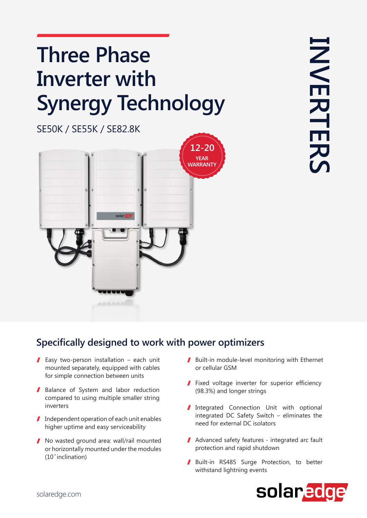## **Three Phase Inverter** with **Synergy Technology**

**INVERTERS INVERTERS** 

**SE50K / SE55K / SE82.8K** 



## **Specifically designed to work with power optimizers**

- Easy two-person installation each unit mounted separately, equipped with cables for simple connection between units
- Balance of System and labor reduction compared to using multiple smaller string inverters
- $\blacksquare$  Independent operation of each unit enables higher uptime and easy serviceability
- No wasted ground area: wall/rail mounted or horizontally mounted under the modules  $(10°$  inclination)
- $\blacksquare$  Built-in module-level monitoring with Ethernet or cellular GSM
- $\blacksquare$  Fixed voltage inverter for superior efficiency (98.3%) and longer strings
- Integrated Connection Unit with optional integrated DC Safety Switch – eliminates the need for external DC isolators
- $\blacksquare$  Advanced safety features integrated arc fault protection and rapid shutdown
- Built-in RS485 Surge Protection, to better withstand lightning events